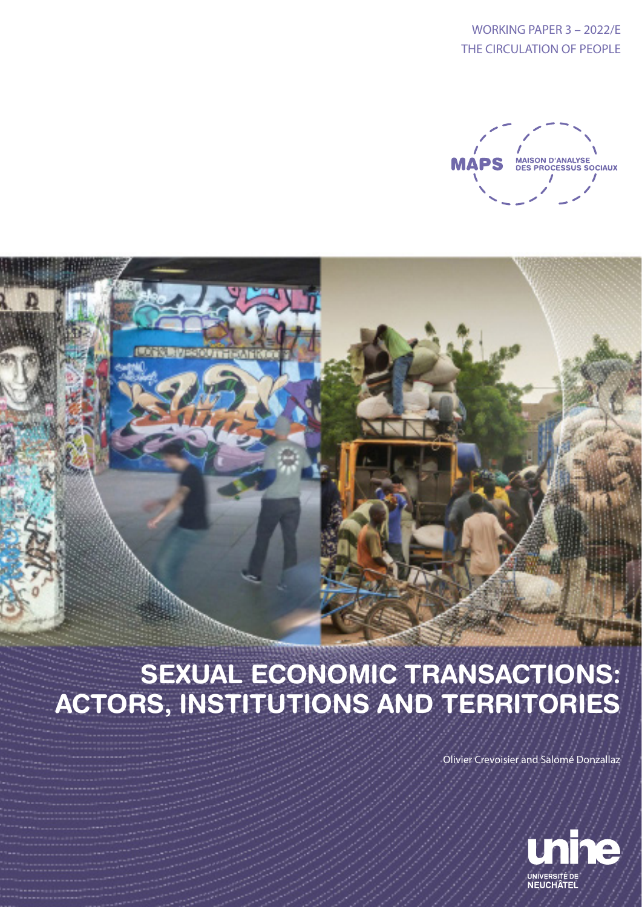WORKING PAPER 3 – 2022/E THE CIRCULATION OF PEOPLE



# SEXUAL ECONOMIC TRANSACTIONS: ACTORS, INSTITUTIONS AND TERRITORIES

Olivier Crevoisier and Salomé Donzallaz

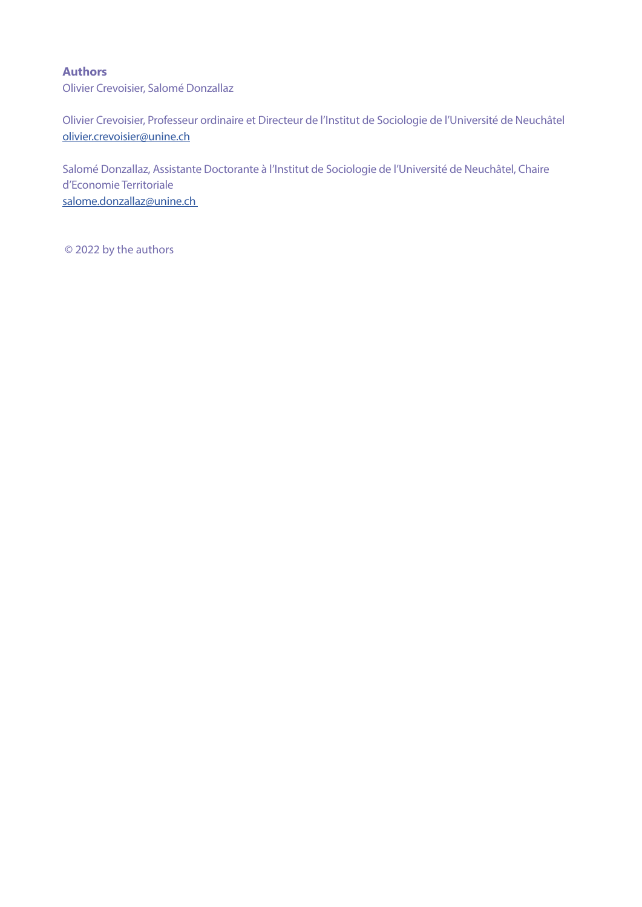## **Authors**

Olivier Crevoisier, Salomé Donzallaz

Olivier Crevoisier, Professeur ordinaire et Directeur de l'Institut de Sociologie de l'Université de Neuchâtel olivier.crevoisier@unine.ch

Salomé Donzallaz, Assistante Doctorante à l'Institut de Sociologie de l'Université de Neuchâtel, Chaire d'Economie Territoriale salome.donzallaz@unine.ch

© 2022 by the authors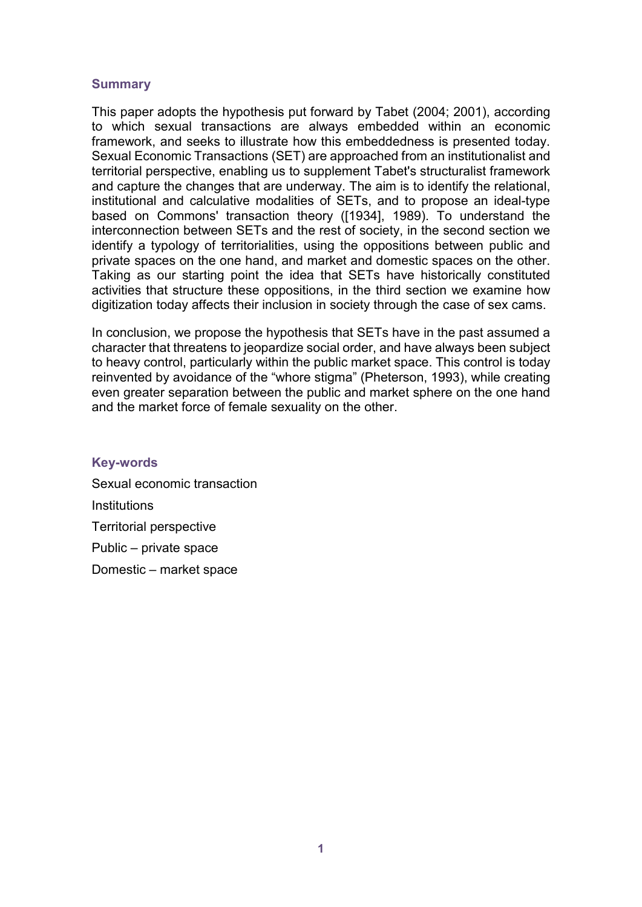## **Summary**

This paper adopts the hypothesis put forward by Tabet (2004; 2001), according to which sexual transactions are always embedded within an economic framework, and seeks to illustrate how this embeddedness is presented today. Sexual Economic Transactions (SET) are approached from an institutionalist and territorial perspective, enabling us to supplement Tabet's structuralist framework and capture the changes that are underway. The aim is to identify the relational, institutional and calculative modalities of SETs, and to propose an ideal-type based on Commons' transaction theory ([1934], 1989). To understand the interconnection between SETs and the rest of society, in the second section we identify a typology of territorialities, using the oppositions between public and private spaces on the one hand, and market and domestic spaces on the other. Taking as our starting point the idea that SETs have historically constituted activities that structure these oppositions, in the third section we examine how digitization today affects their inclusion in society through the case of sex cams.

In conclusion, we propose the hypothesis that SETs have in the past assumed a character that threatens to jeopardize social order, and have always been subject to heavy control, particularly within the public market space. This control is today reinvented by avoidance of the "whore stigma" (Pheterson, 1993), while creating even greater separation between the public and market sphere on the one hand and the market force of female sexuality on the other.

## **Key-words**

Sexual economic transaction Institutions Territorial perspective Public – private space Domestic – market space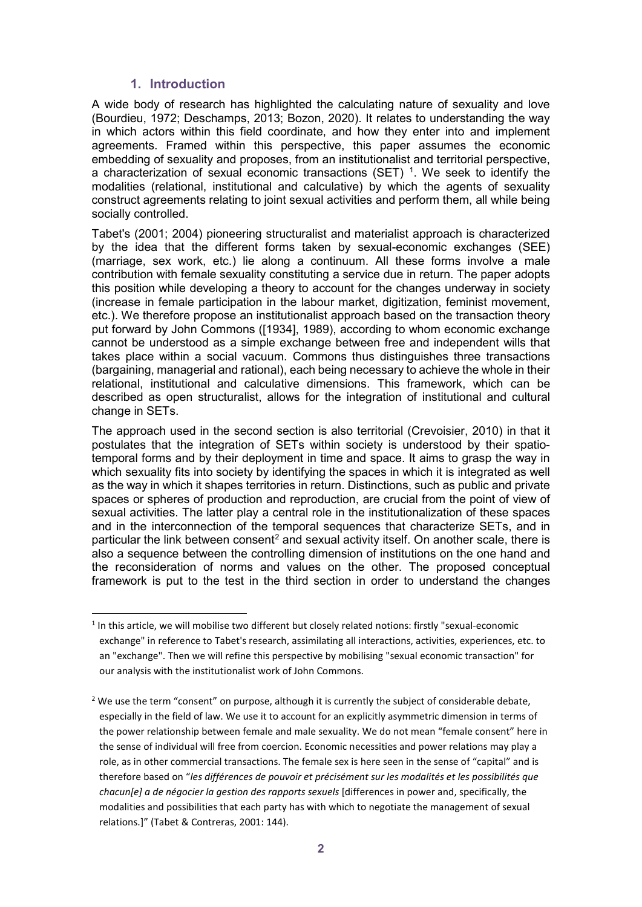## **1. Introduction**

-

A wide body of research has highlighted the calculating nature of sexuality and love (Bourdieu, 1972; Deschamps, 2013; Bozon, 2020). It relates to understanding the way in which actors within this field coordinate, and how they enter into and implement agreements. Framed within this perspective, this paper assumes the economic embedding of sexuality and proposes, from an institutionalist and territorial perspective, a characterization of sexual economic transactions (SET)  $1$ . We seek to identify the modalities (relational, institutional and calculative) by which the agents of sexuality construct agreements relating to joint sexual activities and perform them, all while being socially controlled.

Tabet's (2001; 2004) pioneering structuralist and materialist approach is characterized by the idea that the different forms taken by sexual-economic exchanges (SEE) (marriage, sex work, etc.) lie along a continuum. All these forms involve a male contribution with female sexuality constituting a service due in return. The paper adopts this position while developing a theory to account for the changes underway in society (increase in female participation in the labour market, digitization, feminist movement, etc.). We therefore propose an institutionalist approach based on the transaction theory put forward by John Commons ([1934], 1989), according to whom economic exchange cannot be understood as a simple exchange between free and independent wills that takes place within a social vacuum. Commons thus distinguishes three transactions (bargaining, managerial and rational), each being necessary to achieve the whole in their relational, institutional and calculative dimensions. This framework, which can be described as open structuralist, allows for the integration of institutional and cultural change in SETs.

The approach used in the second section is also territorial (Crevoisier, 2010) in that it postulates that the integration of SETs within society is understood by their spatiotemporal forms and by their deployment in time and space. It aims to grasp the way in which sexuality fits into society by identifying the spaces in which it is integrated as well as the way in which it shapes territories in return. Distinctions, such as public and private spaces or spheres of production and reproduction, are crucial from the point of view of sexual activities. The latter play a central role in the institutionalization of these spaces and in the interconnection of the temporal sequences that characterize SETs, and in particular the link between consent<sup>[2](#page-3-1)</sup> and sexual activity itself. On another scale, there is also a sequence between the controlling dimension of institutions on the one hand and the reconsideration of norms and values on the other. The proposed conceptual framework is put to the test in the third section in order to understand the changes

<span id="page-3-0"></span> $1$  In this article, we will mobilise two different but closely related notions: firstly "sexual-economic exchange" in reference to Tabet's research, assimilating all interactions, activities, experiences, etc. to an "exchange". Then we will refine this perspective by mobilising "sexual economic transaction" for our analysis with the institutionalist work of John Commons.

<span id="page-3-1"></span><sup>&</sup>lt;sup>2</sup> We use the term "consent" on purpose, although it is currently the subject of considerable debate, especially in the field of law. We use it to account for an explicitly asymmetric dimension in terms of the power relationship between female and male sexuality. We do not mean "female consent" here in the sense of individual will free from coercion. Economic necessities and power relations may play a role, as in other commercial transactions. The female sex is here seen in the sense of "capital" and is therefore based on "*les différences de pouvoir et précisément sur les modalités et les possibilités que chacun[e] a de négocier la gestion des rapports sexuels* [differences in power and, specifically, the modalities and possibilities that each party has with which to negotiate the management of sexual relations.]" (Tabet & Contreras, 2001: 144).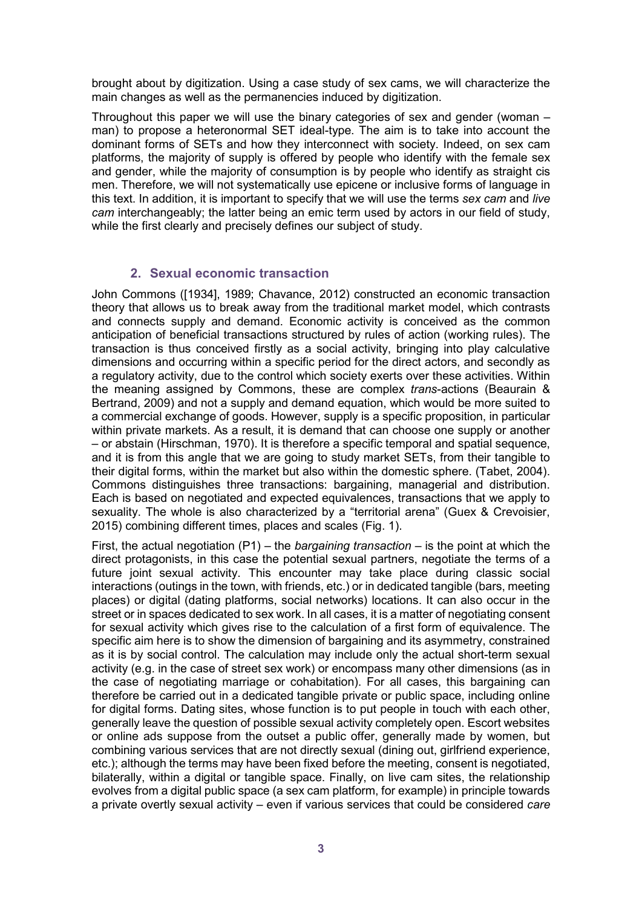brought about by digitization. Using a case study of sex cams, we will characterize the main changes as well as the permanencies induced by digitization.

Throughout this paper we will use the binary categories of sex and gender (woman – man) to propose a heteronormal SET ideal-type. The aim is to take into account the dominant forms of SETs and how they interconnect with society. Indeed, on sex cam platforms, the majority of supply is offered by people who identify with the female sex and gender, while the majority of consumption is by people who identify as straight cis men. Therefore, we will not systematically use epicene or inclusive forms of language in this text. In addition, it is important to specify that we will use the terms *sex cam* and *live cam* interchangeably; the latter being an emic term used by actors in our field of study, while the first clearly and precisely defines our subject of study.

# **2. Sexual economic transaction**

John Commons ([1934], 1989; Chavance, 2012) constructed an economic transaction theory that allows us to break away from the traditional market model, which contrasts and connects supply and demand. Economic activity is conceived as the common anticipation of beneficial transactions structured by rules of action (working rules). The transaction is thus conceived firstly as a social activity, bringing into play calculative dimensions and occurring within a specific period for the direct actors, and secondly as a regulatory activity, due to the control which society exerts over these activities. Within the meaning assigned by Commons, these are complex *trans*-actions (Beaurain & Bertrand, 2009) and not a supply and demand equation, which would be more suited to a commercial exchange of goods. However, supply is a specific proposition, in particular within private markets. As a result, it is demand that can choose one supply or another – or abstain (Hirschman, 1970). It is therefore a specific temporal and spatial sequence, and it is from this angle that we are going to study market SETs, from their tangible to their digital forms, within the market but also within the domestic sphere. (Tabet, 2004). Commons distinguishes three transactions: bargaining, managerial and distribution. Each is based on negotiated and expected equivalences, transactions that we apply to sexuality. The whole is also characterized by a "territorial arena" (Guex & Crevoisier, 2015) combining different times, places and scales (Fig. 1).

First, the actual negotiation (P1) – the *bargaining transaction* – is the point at which the direct protagonists, in this case the potential sexual partners, negotiate the terms of a future joint sexual activity. This encounter may take place during classic social interactions (outings in the town, with friends, etc.) or in dedicated tangible (bars, meeting places) or digital (dating platforms, social networks) locations. It can also occur in the street or in spaces dedicated to sex work. In all cases, it is a matter of negotiating consent for sexual activity which gives rise to the calculation of a first form of equivalence. The specific aim here is to show the dimension of bargaining and its asymmetry, constrained as it is by social control. The calculation may include only the actual short-term sexual activity (e.g. in the case of street sex work) or encompass many other dimensions (as in the case of negotiating marriage or cohabitation). For all cases, this bargaining can therefore be carried out in a dedicated tangible private or public space, including online for digital forms. Dating sites, whose function is to put people in touch with each other, generally leave the question of possible sexual activity completely open. Escort websites or online ads suppose from the outset a public offer, generally made by women, but combining various services that are not directly sexual (dining out, girlfriend experience, etc.); although the terms may have been fixed before the meeting, consent is negotiated, bilaterally, within a digital or tangible space. Finally, on live cam sites, the relationship evolves from a digital public space (a sex cam platform, for example) in principle towards a private overtly sexual activity – even if various services that could be considered *care*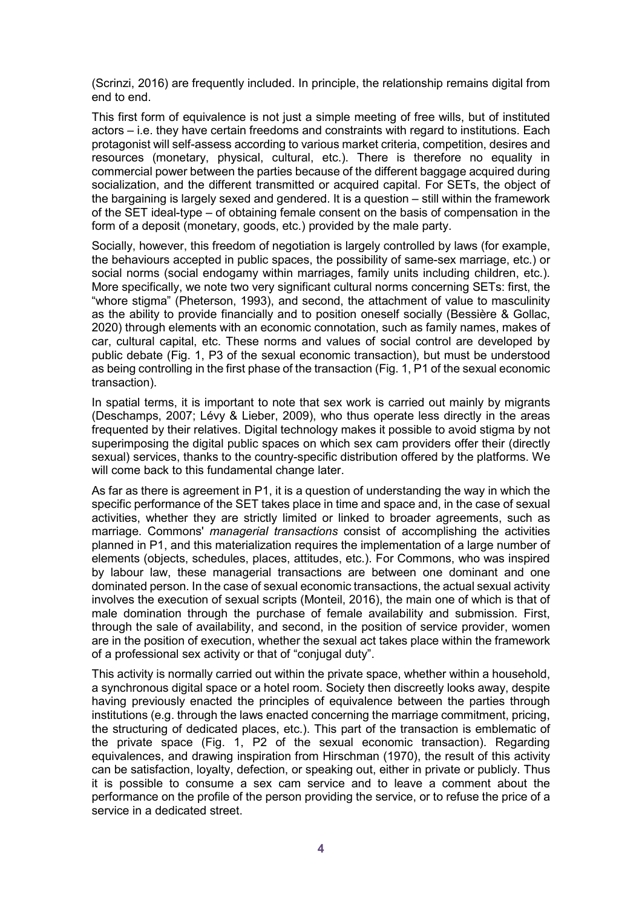(Scrinzi, 2016) are frequently included. In principle, the relationship remains digital from end to end.

This first form of equivalence is not just a simple meeting of free wills, but of instituted actors – i.e. they have certain freedoms and constraints with regard to institutions. Each protagonist will self-assess according to various market criteria, competition, desires and resources (monetary, physical, cultural, etc.). There is therefore no equality in commercial power between the parties because of the different baggage acquired during socialization, and the different transmitted or acquired capital. For SETs, the object of the bargaining is largely sexed and gendered. It is a question – still within the framework of the SET ideal-type – of obtaining female consent on the basis of compensation in the form of a deposit (monetary, goods, etc.) provided by the male party.

Socially, however, this freedom of negotiation is largely controlled by laws (for example, the behaviours accepted in public spaces, the possibility of same-sex marriage, etc.) or social norms (social endogamy within marriages, family units including children, etc.). More specifically, we note two very significant cultural norms concerning SETs: first, the "whore stigma" (Pheterson, 1993), and second, the attachment of value to masculinity as the ability to provide financially and to position oneself socially (Bessière & Gollac, 2020) through elements with an economic connotation, such as family names, makes of car, cultural capital, etc. These norms and values of social control are developed by public debate (Fig. 1, P3 of the sexual economic transaction), but must be understood as being controlling in the first phase of the transaction (Fig. 1, P1 of the sexual economic transaction).

In spatial terms, it is important to note that sex work is carried out mainly by migrants (Deschamps, 2007; Lévy & Lieber, 2009), who thus operate less directly in the areas frequented by their relatives. Digital technology makes it possible to avoid stigma by not superimposing the digital public spaces on which sex cam providers offer their (directly sexual) services, thanks to the country-specific distribution offered by the platforms. We will come back to this fundamental change later.

As far as there is agreement in P1, it is a question of understanding the way in which the specific performance of the SET takes place in time and space and, in the case of sexual activities, whether they are strictly limited or linked to broader agreements, such as marriage. Commons' *managerial transactions* consist of accomplishing the activities planned in P1, and this materialization requires the implementation of a large number of elements (objects, schedules, places, attitudes, etc.). For Commons, who was inspired by labour law, these managerial transactions are between one dominant and one dominated person. In the case of sexual economic transactions, the actual sexual activity involves the execution of sexual scripts (Monteil, 2016), the main one of which is that of male domination through the purchase of female availability and submission. First, through the sale of availability, and second, in the position of service provider, women are in the position of execution, whether the sexual act takes place within the framework of a professional sex activity or that of "conjugal duty".

This activity is normally carried out within the private space, whether within a household, a synchronous digital space or a hotel room. Society then discreetly looks away, despite having previously enacted the principles of equivalence between the parties through institutions (e.g. through the laws enacted concerning the marriage commitment, pricing, the structuring of dedicated places, etc.). This part of the transaction is emblematic of the private space (Fig. 1, P2 of the sexual economic transaction). Regarding equivalences, and drawing inspiration from Hirschman (1970), the result of this activity can be satisfaction, loyalty, defection, or speaking out, either in private or publicly. Thus it is possible to consume a sex cam service and to leave a comment about the performance on the profile of the person providing the service, or to refuse the price of a service in a dedicated street.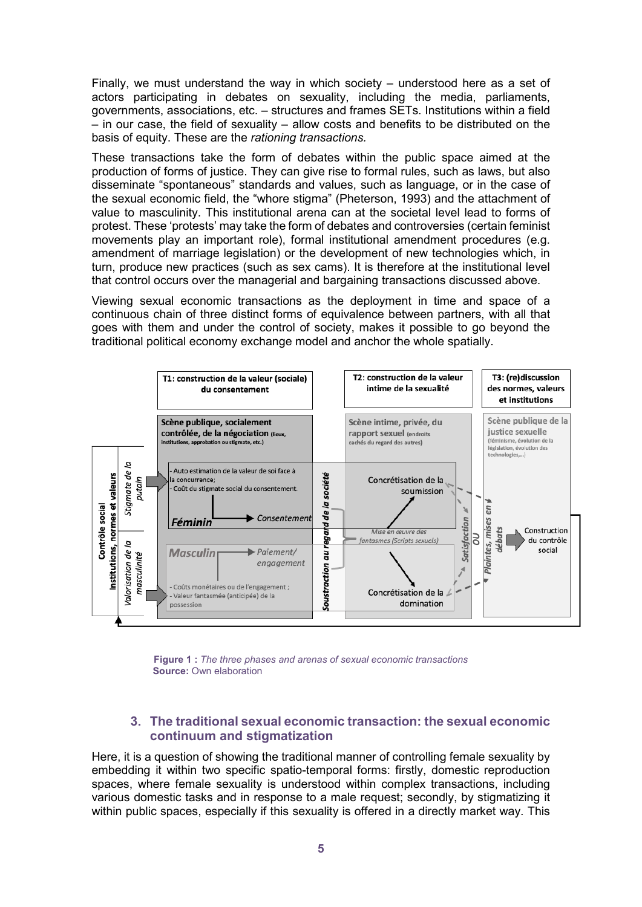Finally, we must understand the way in which society – understood here as a set of actors participating in debates on sexuality, including the media, parliaments, governments, associations, etc. – structures and frames SETs. Institutions within a field – in our case, the field of sexuality – allow costs and benefits to be distributed on the basis of equity. These are the *rationing transactions.*

These transactions take the form of debates within the public space aimed at the production of forms of justice. They can give rise to formal rules, such as laws, but also disseminate "spontaneous" standards and values, such as language, or in the case of the sexual economic field, the "whore stigma" (Pheterson, 1993) and the attachment of value to masculinity. This institutional arena can at the societal level lead to forms of protest. These 'protests' may take the form of debates and controversies (certain feminist movements play an important role), formal institutional amendment procedures (e.g. amendment of marriage legislation) or the development of new technologies which, in turn, produce new practices (such as sex cams). It is therefore at the institutional level that control occurs over the managerial and bargaining transactions discussed above.

Viewing sexual economic transactions as the deployment in time and space of a continuous chain of three distinct forms of equivalence between partners, with all that goes with them and under the control of society, makes it possible to go beyond the traditional political economy exchange model and anchor the whole spatially.



**Figure 1 :** *The three phases and arenas of sexual economic transactions* **Source: Own elaboration** 

# **3. The traditional sexual economic transaction: the sexual economic continuum and stigmatization**

Here, it is a question of showing the traditional manner of controlling female sexuality by embedding it within two specific spatio-temporal forms: firstly, domestic reproduction spaces, where female sexuality is understood within complex transactions, including various domestic tasks and in response to a male request; secondly, by stigmatizing it within public spaces, especially if this sexuality is offered in a directly market way. This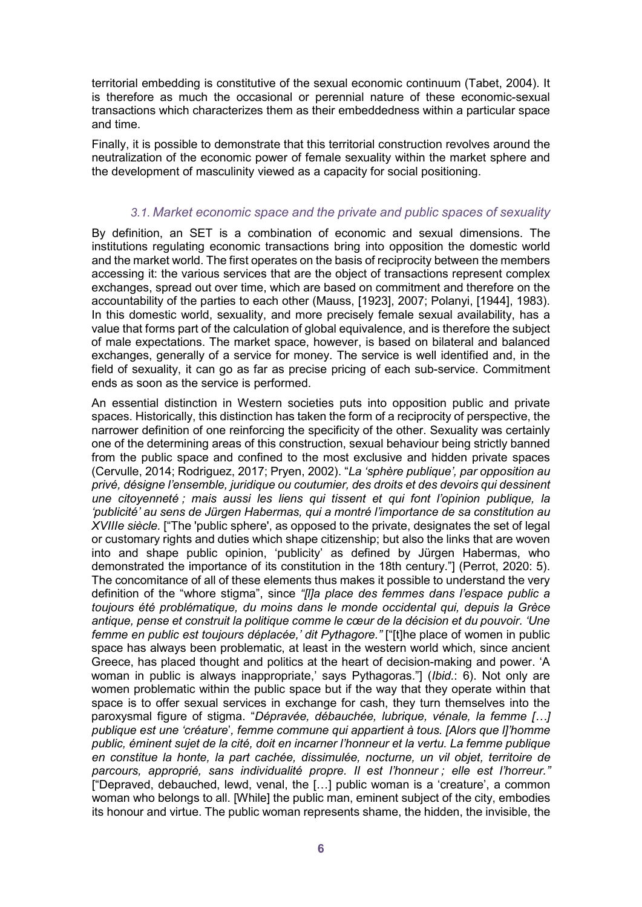territorial embedding is constitutive of the sexual economic continuum (Tabet, 2004). It is therefore as much the occasional or perennial nature of these economic-sexual transactions which characterizes them as their embeddedness within a particular space and time.

Finally, it is possible to demonstrate that this territorial construction revolves around the neutralization of the economic power of female sexuality within the market sphere and the development of masculinity viewed as a capacity for social positioning.

## *3.1. Market economic space and the private and public spaces of sexuality*

By definition, an SET is a combination of economic and sexual dimensions. The institutions regulating economic transactions bring into opposition the domestic world and the market world. The first operates on the basis of reciprocity between the members accessing it: the various services that are the object of transactions represent complex exchanges, spread out over time, which are based on commitment and therefore on the accountability of the parties to each other (Mauss, [1923], 2007; Polanyi, [1944], 1983). In this domestic world, sexuality, and more precisely female sexual availability, has a value that forms part of the calculation of global equivalence, and is therefore the subject of male expectations. The market space, however, is based on bilateral and balanced exchanges, generally of a service for money. The service is well identified and, in the field of sexuality, it can go as far as precise pricing of each sub-service. Commitment ends as soon as the service is performed.

An essential distinction in Western societies puts into opposition public and private spaces. Historically, this distinction has taken the form of a reciprocity of perspective, the narrower definition of one reinforcing the specificity of the other. Sexuality was certainly one of the determining areas of this construction, sexual behaviour being strictly banned from the public space and confined to the most exclusive and hidden private spaces (Cervulle, 2014; Rodriguez, 2017; Pryen, 2002). "*La 'sphère publique', par opposition au privé, désigne l'ensemble, juridique ou coutumier, des droits et des devoirs qui dessinent une citoyenneté ; mais aussi les liens qui tissent et qui font l'opinion publique, la 'publicité' au sens de Jürgen Habermas, qui a montré l'importance de sa constitution au XVIIIe siècle.* ["The 'public sphere', as opposed to the private, designates the set of legal or customary rights and duties which shape citizenship; but also the links that are woven into and shape public opinion, 'publicity' as defined by Jürgen Habermas, who demonstrated the importance of its constitution in the 18th century."] (Perrot, 2020: 5). The concomitance of all of these elements thus makes it possible to understand the very definition of the "whore stigma", since *"[l]a place des femmes dans l'espace public a toujours été problématique, du moins dans le monde occidental qui, depuis la Grèce antique, pense et construit la politique comme le cœur de la décision et du pouvoir. 'Une femme en public est toujours déplacée,' dit Pythagore."* ["[t]he place of women in public space has always been problematic, at least in the western world which, since ancient Greece, has placed thought and politics at the heart of decision-making and power. 'A woman in public is always inappropriate,' says Pythagoras."] (*Ibid.*: 6). Not only are women problematic within the public space but if the way that they operate within that space is to offer sexual services in exchange for cash, they turn themselves into the paroxysmal figure of stigma. "*Dépravée, débauchée, lubrique, vénale, la femme […] publique est une 'créature*'*, femme commune qui appartient à tous. [Alors que l]'homme public, éminent sujet de la cité, doit en incarner l'honneur et la vertu. La femme publique en constitue la honte, la part cachée, dissimulée, nocturne, un vil objet, territoire de parcours, approprié, sans individualité propre. Il est l'honneur ; elle est l'horreur."* ["Depraved, debauched, lewd, venal, the […] public woman is a 'creature', a common woman who belongs to all. [While] the public man, eminent subject of the city, embodies its honour and virtue. The public woman represents shame, the hidden, the invisible, the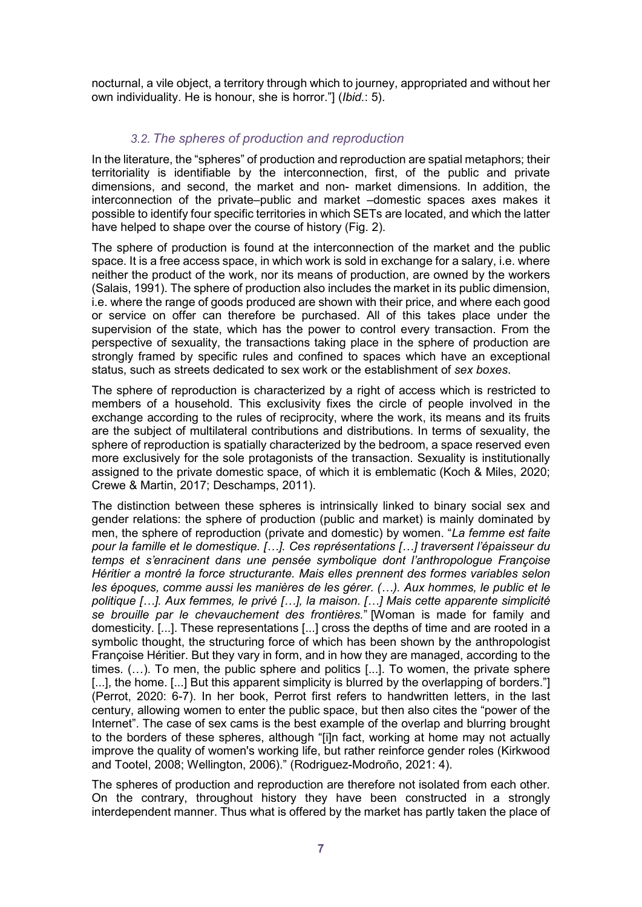nocturnal, a vile object, a territory through which to journey, appropriated and without her own individuality. He is honour, she is horror."] (*Ibid.*: 5).

# *3.2. The spheres of production and reproduction*

In the literature, the "spheres" of production and reproduction are spatial metaphors; their territoriality is identifiable by the interconnection, first, of the public and private dimensions, and second, the market and non- market dimensions. In addition, the interconnection of the private–public and market –domestic spaces axes makes it possible to identify four specific territories in which SETs are located, and which the latter have helped to shape over the course of history (Fig. 2).

The sphere of production is found at the interconnection of the market and the public space. It is a free access space, in which work is sold in exchange for a salary, i.e. where neither the product of the work, nor its means of production, are owned by the workers (Salais, 1991). The sphere of production also includes the market in its public dimension, i.e. where the range of goods produced are shown with their price, and where each good or service on offer can therefore be purchased. All of this takes place under the supervision of the state, which has the power to control every transaction. From the perspective of sexuality, the transactions taking place in the sphere of production are strongly framed by specific rules and confined to spaces which have an exceptional status, such as streets dedicated to sex work or the establishment of *sex boxes*.

The sphere of reproduction is characterized by a right of access which is restricted to members of a household. This exclusivity fixes the circle of people involved in the exchange according to the rules of reciprocity, where the work, its means and its fruits are the subject of multilateral contributions and distributions. In terms of sexuality, the sphere of reproduction is spatially characterized by the bedroom, a space reserved even more exclusively for the sole protagonists of the transaction. Sexuality is institutionally assigned to the private domestic space, of which it is emblematic (Koch & Miles, 2020; Crewe & Martin, 2017; Deschamps, 2011).

The distinction between these spheres is intrinsically linked to binary social sex and gender relations: the sphere of production (public and market) is mainly dominated by men, the sphere of reproduction (private and domestic) by women. "*La femme est faite pour la famille et le domestique. […]. Ces représentations […] traversent l'épaisseur du temps et s'enracinent dans une pensée symbolique dont l'anthropologue Françoise Héritier a montré la force structurante. Mais elles prennent des formes variables selon les époques, comme aussi les manières de les gérer. (…). Aux hommes, le public et le politique […]. Aux femmes, le privé […], la maison. […] Mais cette apparente simplicité se brouille par le chevauchement des frontières.*" [Woman is made for family and domesticity. [...]. These representations [...] cross the depths of time and are rooted in a symbolic thought, the structuring force of which has been shown by the anthropologist Françoise Héritier. But they vary in form, and in how they are managed, according to the times. (…). To men, the public sphere and politics [...]. To women, the private sphere [...], the home. [...] But this apparent simplicity is blurred by the overlapping of borders."] (Perrot, 2020: 6-7). In her book, Perrot first refers to handwritten letters, in the last century, allowing women to enter the public space, but then also cites the "power of the Internet". The case of sex cams is the best example of the overlap and blurring brought to the borders of these spheres, although "[i]n fact, working at home may not actually improve the quality of women's working life, but rather reinforce gender roles (Kirkwood and Tootel, 2008; Wellington, 2006)." (Rodriguez-Modroño, 2021: 4).

The spheres of production and reproduction are therefore not isolated from each other. On the contrary, throughout history they have been constructed in a strongly interdependent manner. Thus what is offered by the market has partly taken the place of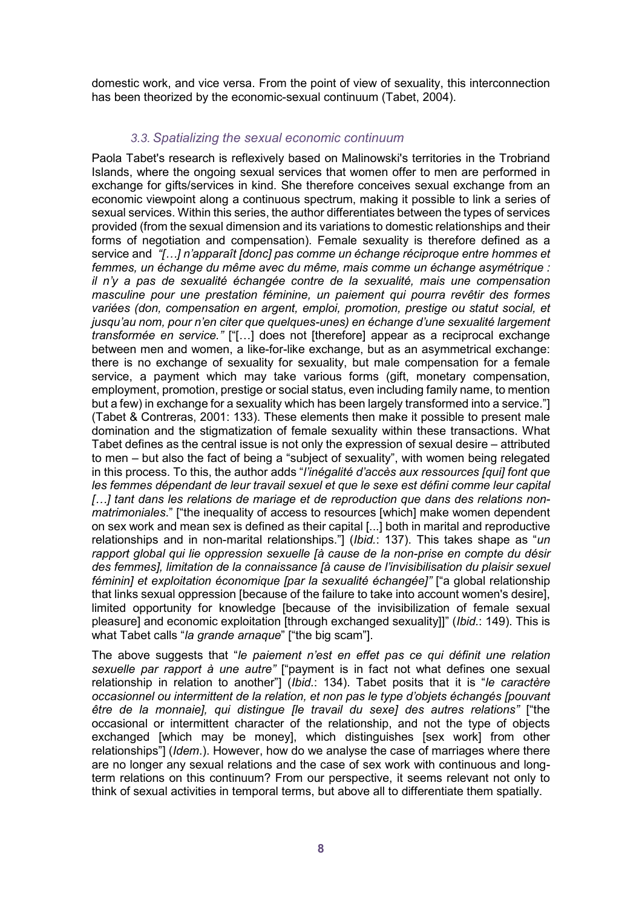domestic work, and vice versa. From the point of view of sexuality, this interconnection has been theorized by the economic-sexual continuum (Tabet, 2004).

## *3.3. Spatializing the sexual economic continuum*

Paola Tabet's research is reflexively based on Malinowski's territories in the Trobriand Islands, where the ongoing sexual services that women offer to men are performed in exchange for gifts/services in kind. She therefore conceives sexual exchange from an economic viewpoint along a continuous spectrum, making it possible to link a series of sexual services. Within this series, the author differentiates between the types of services provided (from the sexual dimension and its variations to domestic relationships and their forms of negotiation and compensation). Female sexuality is therefore defined as a service and *"[…] n'apparaît [donc] pas comme un échange réciproque entre hommes et femmes, un échange du même avec du même, mais comme un échange asymétrique : il n'y a pas de sexualité échangée contre de la sexualité, mais une compensation masculine pour une prestation féminine, un paiement qui pourra revêtir des formes*  variées (don, compensation en argent, emploi, promotion, prestige ou statut social, et *jusqu'au nom, pour n'en citer que quelques-unes) en échange d'une sexualité largement transformée en service."* ["[…] does not [therefore] appear as a reciprocal exchange between men and women, a like-for-like exchange, but as an asymmetrical exchange: there is no exchange of sexuality for sexuality, but male compensation for a female service, a payment which may take various forms (gift, monetary compensation, employment, promotion, prestige or social status, even including family name, to mention but a few) in exchange for a sexuality which has been largely transformed into a service."] (Tabet & Contreras, 2001: 133). These elements then make it possible to present male domination and the stigmatization of female sexuality within these transactions. What Tabet defines as the central issue is not only the expression of sexual desire – attributed to men – but also the fact of being a "subject of sexuality", with women being relegated in this process. To this, the author adds "*l'inégalité d'accès aux ressources [qui] font que*  les femmes dépendant de leur travail sexuel et que le sexe est défini comme leur capital *[…] tant dans les relations de mariage et de reproduction que dans des relations nonmatrimoniales*." ["the inequality of access to resources [which] make women dependent on sex work and mean sex is defined as their capital [...] both in marital and reproductive relationships and in non-marital relationships."] (*Ibid.*: 137). This takes shape as "*un rapport global qui lie oppression sexuelle [à cause de la non-prise en compte du désir des femmes], limitation de la connaissance [à cause de l'invisibilisation du plaisir sexuel féminin] et exploitation économique [par la sexualité échangée]"* ["a global relationship that links sexual oppression [because of the failure to take into account women's desire], limited opportunity for knowledge [because of the invisibilization of female sexual pleasure] and economic exploitation [through exchanged sexuality]]" (*Ibid.*: 149). This is what Tabet calls "*la grande arnaque*" ["the big scam"].

The above suggests that "*le paiement n'est en effet pas ce qui définit une relation sexuelle par rapport à une autre"* ["payment is in fact not what defines one sexual relationship in relation to another"] (*Ibid.*: 134). Tabet posits that it is "*le caractère occasionnel ou intermittent de la relation, et non pas le type d'objets échangés [pouvant être de la monnaie], qui distingue [le travail du sexe] des autres relations"* ["the occasional or intermittent character of the relationship, and not the type of objects exchanged [which may be money], which distinguishes [sex work] from other relationships"] (*Idem*.). However, how do we analyse the case of marriages where there are no longer any sexual relations and the case of sex work with continuous and longterm relations on this continuum? From our perspective, it seems relevant not only to think of sexual activities in temporal terms, but above all to differentiate them spatially.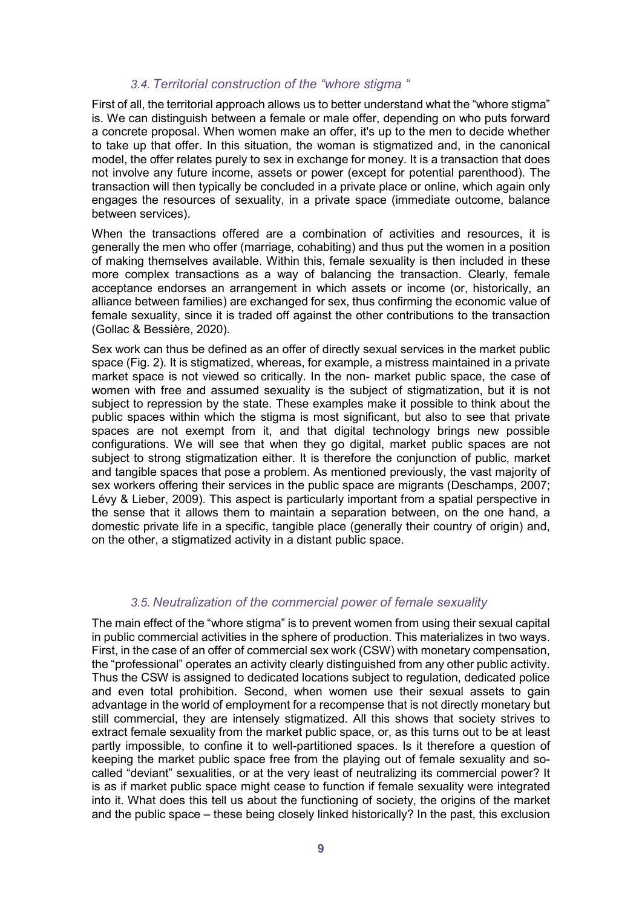## *3.4. Territorial construction of the "whore stigma "*

First of all, the territorial approach allows us to better understand what the "whore stigma" is. We can distinguish between a female or male offer, depending on who puts forward a concrete proposal. When women make an offer, it's up to the men to decide whether to take up that offer. In this situation, the woman is stigmatized and, in the canonical model, the offer relates purely to sex in exchange for money. It is a transaction that does not involve any future income, assets or power (except for potential parenthood). The transaction will then typically be concluded in a private place or online, which again only engages the resources of sexuality, in a private space (immediate outcome, balance between services).

When the transactions offered are a combination of activities and resources, it is generally the men who offer (marriage, cohabiting) and thus put the women in a position of making themselves available. Within this, female sexuality is then included in these more complex transactions as a way of balancing the transaction. Clearly, female acceptance endorses an arrangement in which assets or income (or, historically, an alliance between families) are exchanged for sex, thus confirming the economic value of female sexuality, since it is traded off against the other contributions to the transaction (Gollac & Bessière, 2020).

Sex work can thus be defined as an offer of directly sexual services in the market public space (Fig. 2)*.* It is stigmatized, whereas, for example, a mistress maintained in a private market space is not viewed so critically. In the non- market public space, the case of women with free and assumed sexuality is the subject of stigmatization, but it is not subject to repression by the state. These examples make it possible to think about the public spaces within which the stigma is most significant, but also to see that private spaces are not exempt from it, and that digital technology brings new possible configurations. We will see that when they go digital, market public spaces are not subject to strong stigmatization either. It is therefore the conjunction of public, market and tangible spaces that pose a problem. As mentioned previously, the vast majority of sex workers offering their services in the public space are migrants (Deschamps, 2007; Lévy & Lieber, 2009). This aspect is particularly important from a spatial perspective in the sense that it allows them to maintain a separation between, on the one hand, a domestic private life in a specific, tangible place (generally their country of origin) and, on the other, a stigmatized activity in a distant public space.

#### *3.5. Neutralization of the commercial power of female sexuality*

The main effect of the "whore stigma" is to prevent women from using their sexual capital in public commercial activities in the sphere of production. This materializes in two ways. First, in the case of an offer of commercial sex work (CSW) with monetary compensation, the "professional" operates an activity clearly distinguished from any other public activity. Thus the CSW is assigned to dedicated locations subject to regulation, dedicated police and even total prohibition. Second, when women use their sexual assets to gain advantage in the world of employment for a recompense that is not directly monetary but still commercial, they are intensely stigmatized. All this shows that society strives to extract female sexuality from the market public space, or, as this turns out to be at least partly impossible, to confine it to well-partitioned spaces. Is it therefore a question of keeping the market public space free from the playing out of female sexuality and socalled "deviant" sexualities, or at the very least of neutralizing its commercial power? It is as if market public space might cease to function if female sexuality were integrated into it. What does this tell us about the functioning of society, the origins of the market and the public space – these being closely linked historically? In the past, this exclusion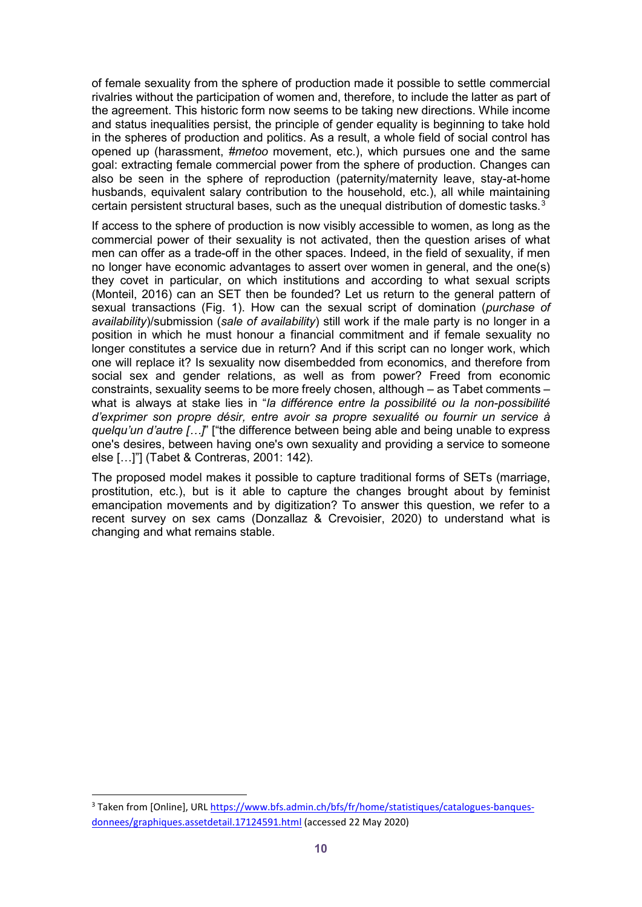of female sexuality from the sphere of production made it possible to settle commercial rivalries without the participation of women and, therefore, to include the latter as part of the agreement. This historic form now seems to be taking new directions. While income and status inequalities persist, the principle of gender equality is beginning to take hold in the spheres of production and politics. As a result, a whole field of social control has opened up (harassment, *#metoo* movement, etc.), which pursues one and the same goal: extracting female commercial power from the sphere of production. Changes can also be seen in the sphere of reproduction (paternity/maternity leave, stay-at-home husbands, equivalent salary contribution to the household, etc.), all while maintaining certain persistent structural bases, such as the unequal distribution of domestic tasks.<sup>[3](#page-11-0)</sup>

If access to the sphere of production is now visibly accessible to women, as long as the commercial power of their sexuality is not activated, then the question arises of what men can offer as a trade-off in the other spaces. Indeed, in the field of sexuality, if men no longer have economic advantages to assert over women in general, and the one(s) they covet in particular, on which institutions and according to what sexual scripts (Monteil, 2016) can an SET then be founded? Let us return to the general pattern of sexual transactions (Fig. 1). How can the sexual script of domination (*purchase of availability*)/submission (*sale of availability*) still work if the male party is no longer in a position in which he must honour a financial commitment and if female sexuality no longer constitutes a service due in return? And if this script can no longer work, which one will replace it? Is sexuality now disembedded from economics, and therefore from social sex and gender relations, as well as from power? Freed from economic constraints, sexuality seems to be more freely chosen, although – as Tabet comments – what is always at stake lies in "*la différence entre la possibilité ou la non-possibilité d'exprimer son propre désir, entre avoir sa propre sexualité ou fournir un service à quelqu'un d'autre […]*" ["the difference between being able and being unable to express one's desires, between having one's own sexuality and providing a service to someone else […]"] (Tabet & Contreras, 2001: 142).

The proposed model makes it possible to capture traditional forms of SETs (marriage, prostitution, etc.), but is it able to capture the changes brought about by feminist emancipation movements and by digitization? To answer this question, we refer to a recent survey on sex cams (Donzallaz & Crevoisier, 2020) to understand what is changing and what remains stable.

-

<span id="page-11-0"></span><sup>&</sup>lt;sup>3</sup> Taken from [Online], URL [https://www.bfs.admin.ch/bfs/fr/home/statistiques/catalogues-banques](https://www.bfs.admin.ch/bfs/fr/home/statistiques/catalogues-banques-donnees/graphiques.assetdetail.17124591.html)[donnees/graphiques.assetdetail.17124591.html](https://www.bfs.admin.ch/bfs/fr/home/statistiques/catalogues-banques-donnees/graphiques.assetdetail.17124591.html) (accessed 22 May 2020)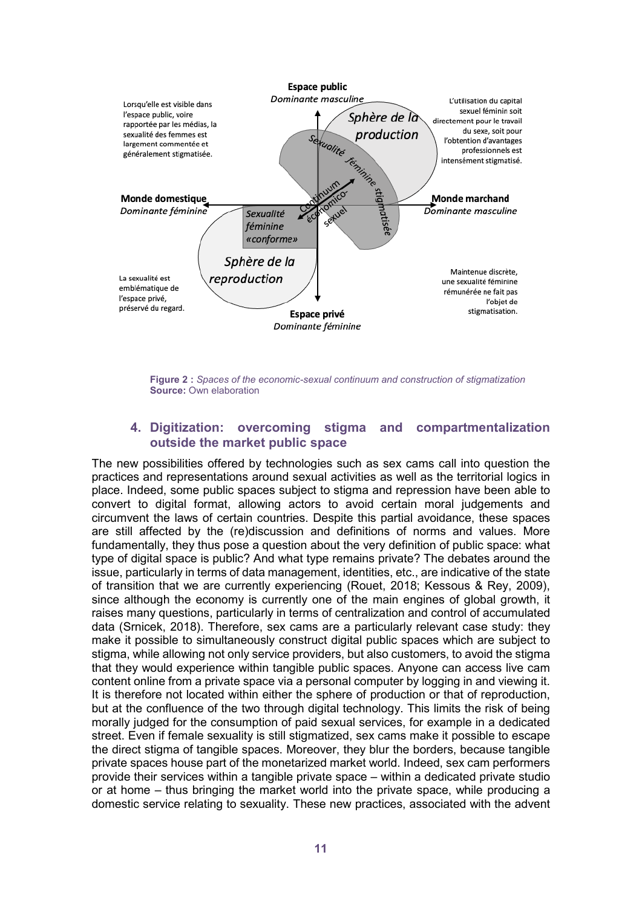

**Figure 2 :** *Spaces of the economic-sexual continuum and construction of stigmatization* **Source: Own elaboration** 

## **4. Digitization: overcoming stigma and compartmentalization outside the market public space**

The new possibilities offered by technologies such as sex cams call into question the practices and representations around sexual activities as well as the territorial logics in place. Indeed, some public spaces subject to stigma and repression have been able to convert to digital format, allowing actors to avoid certain moral judgements and circumvent the laws of certain countries. Despite this partial avoidance, these spaces are still affected by the (re)discussion and definitions of norms and values. More fundamentally, they thus pose a question about the very definition of public space: what type of digital space is public? And what type remains private? The debates around the issue, particularly in terms of data management, identities, etc., are indicative of the state of transition that we are currently experiencing (Rouet, 2018; Kessous & Rey, 2009), since although the economy is currently one of the main engines of global growth, it raises many questions, particularly in terms of centralization and control of accumulated data (Srnicek, 2018). Therefore, sex cams are a particularly relevant case study: they make it possible to simultaneously construct digital public spaces which are subject to stigma, while allowing not only service providers, but also customers, to avoid the stigma that they would experience within tangible public spaces. Anyone can access live cam content online from a private space via a personal computer by logging in and viewing it. It is therefore not located within either the sphere of production or that of reproduction, but at the confluence of the two through digital technology. This limits the risk of being morally judged for the consumption of paid sexual services, for example in a dedicated street. Even if female sexuality is still stigmatized, sex cams make it possible to escape the direct stigma of tangible spaces. Moreover, they blur the borders, because tangible private spaces house part of the monetarized market world. Indeed, sex cam performers provide their services within a tangible private space – within a dedicated private studio or at home – thus bringing the market world into the private space, while producing a domestic service relating to sexuality. These new practices, associated with the advent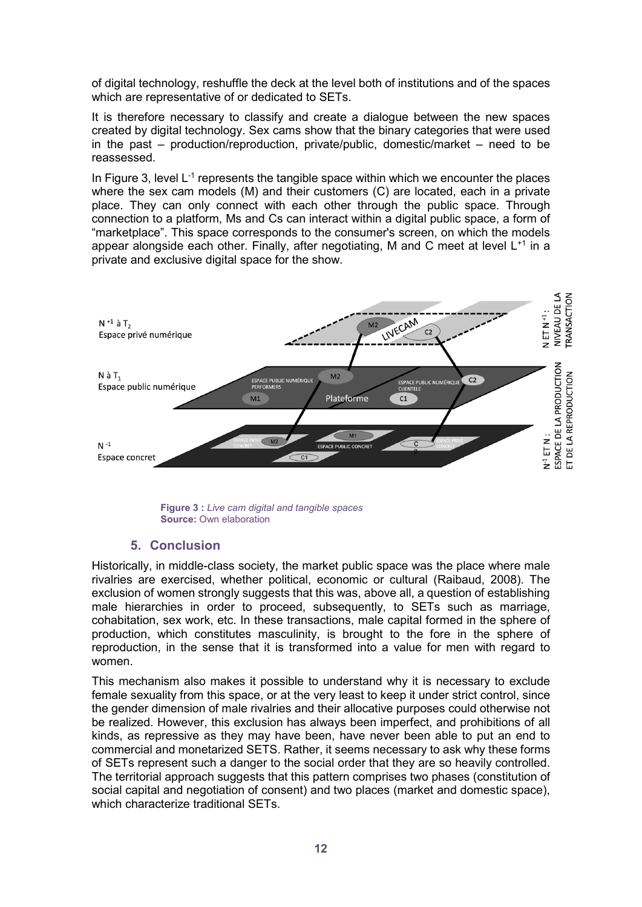of digital technology, reshuffle the deck at the level both of institutions and of the spaces which are representative of or dedicated to SETs.

It is therefore necessary to classify and create a dialogue between the new spaces created by digital technology. Sex cams show that the binary categories that were used in the past – production/reproduction, private/public, domestic/market – need to be reassessed.

In Figure 3, level  $L^{-1}$  represents the tangible space within which we encounter the places where the sex cam models (M) and their customers (C) are located, each in a private place. They can only connect with each other through the public space. Through connection to a platform, Ms and Cs can interact within a digital public space, a form of "marketplace". This space corresponds to the consumer's screen, on which the models appear alongside each other. Finally, after negotiating, M and C meet at level  $L^{+1}$  in a private and exclusive digital space for the show.



**Figure 3 :** *Live cam digital and tangible spaces* **Source: Own elaboration** 

# **5. Conclusion**

Historically, in middle-class society, the market public space was the place where male rivalries are exercised, whether political, economic or cultural (Raibaud, 2008). The exclusion of women strongly suggests that this was, above all, a question of establishing male hierarchies in order to proceed, subsequently, to SETs such as marriage, cohabitation, sex work, etc. In these transactions, male capital formed in the sphere of production, which constitutes masculinity, is brought to the fore in the sphere of reproduction, in the sense that it is transformed into a value for men with regard to women.

This mechanism also makes it possible to understand why it is necessary to exclude female sexuality from this space, or at the very least to keep it under strict control, since the gender dimension of male rivalries and their allocative purposes could otherwise not be realized. However, this exclusion has always been imperfect, and prohibitions of all kinds, as repressive as they may have been, have never been able to put an end to commercial and monetarized SETS. Rather, it seems necessary to ask why these forms of SETs represent such a danger to the social order that they are so heavily controlled. The territorial approach suggests that this pattern comprises two phases (constitution of social capital and negotiation of consent) and two places (market and domestic space), which characterize traditional SETs.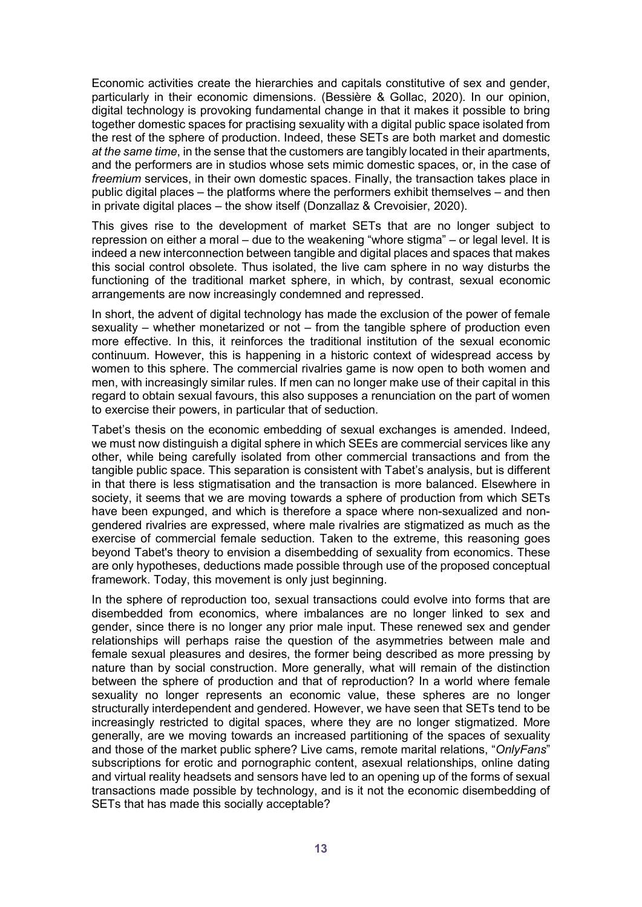Economic activities create the hierarchies and capitals constitutive of sex and gender, particularly in their economic dimensions. (Bessière & Gollac, 2020). In our opinion, digital technology is provoking fundamental change in that it makes it possible to bring together domestic spaces for practising sexuality with a digital public space isolated from the rest of the sphere of production. Indeed, these SETs are both market and domestic *at the same time*, in the sense that the customers are tangibly located in their apartments, and the performers are in studios whose sets mimic domestic spaces, or, in the case of *freemium* services, in their own domestic spaces. Finally, the transaction takes place in public digital places – the platforms where the performers exhibit themselves – and then in private digital places – the show itself (Donzallaz & Crevoisier, 2020).

This gives rise to the development of market SETs that are no longer subject to repression on either a moral – due to the weakening "whore stigma" – or legal level. It is indeed a new interconnection between tangible and digital places and spaces that makes this social control obsolete. Thus isolated, the live cam sphere in no way disturbs the functioning of the traditional market sphere, in which, by contrast, sexual economic arrangements are now increasingly condemned and repressed.

In short, the advent of digital technology has made the exclusion of the power of female sexuality – whether monetarized or not – from the tangible sphere of production even more effective. In this, it reinforces the traditional institution of the sexual economic continuum. However, this is happening in a historic context of widespread access by women to this sphere. The commercial rivalries game is now open to both women and men, with increasingly similar rules. If men can no longer make use of their capital in this regard to obtain sexual favours, this also supposes a renunciation on the part of women to exercise their powers, in particular that of seduction.

Tabet's thesis on the economic embedding of sexual exchanges is amended. Indeed, we must now distinguish a digital sphere in which SEEs are commercial services like any other, while being carefully isolated from other commercial transactions and from the tangible public space. This separation is consistent with Tabet's analysis, but is different in that there is less stigmatisation and the transaction is more balanced. Elsewhere in society, it seems that we are moving towards a sphere of production from which SETs have been expunged, and which is therefore a space where non-sexualized and nongendered rivalries are expressed, where male rivalries are stigmatized as much as the exercise of commercial female seduction. Taken to the extreme, this reasoning goes beyond Tabet's theory to envision a disembedding of sexuality from economics. These are only hypotheses, deductions made possible through use of the proposed conceptual framework. Today, this movement is only just beginning.

In the sphere of reproduction too, sexual transactions could evolve into forms that are disembedded from economics, where imbalances are no longer linked to sex and gender, since there is no longer any prior male input. These renewed sex and gender relationships will perhaps raise the question of the asymmetries between male and female sexual pleasures and desires, the former being described as more pressing by nature than by social construction. More generally, what will remain of the distinction between the sphere of production and that of reproduction? In a world where female sexuality no longer represents an economic value, these spheres are no longer structurally interdependent and gendered. However, we have seen that SETs tend to be increasingly restricted to digital spaces, where they are no longer stigmatized. More generally, are we moving towards an increased partitioning of the spaces of sexuality and those of the market public sphere? Live cams, remote marital relations, "*OnlyFans*" subscriptions for erotic and pornographic content, asexual relationships, online dating and virtual reality headsets and sensors have led to an opening up of the forms of sexual transactions made possible by technology, and is it not the economic disembedding of SETs that has made this socially acceptable?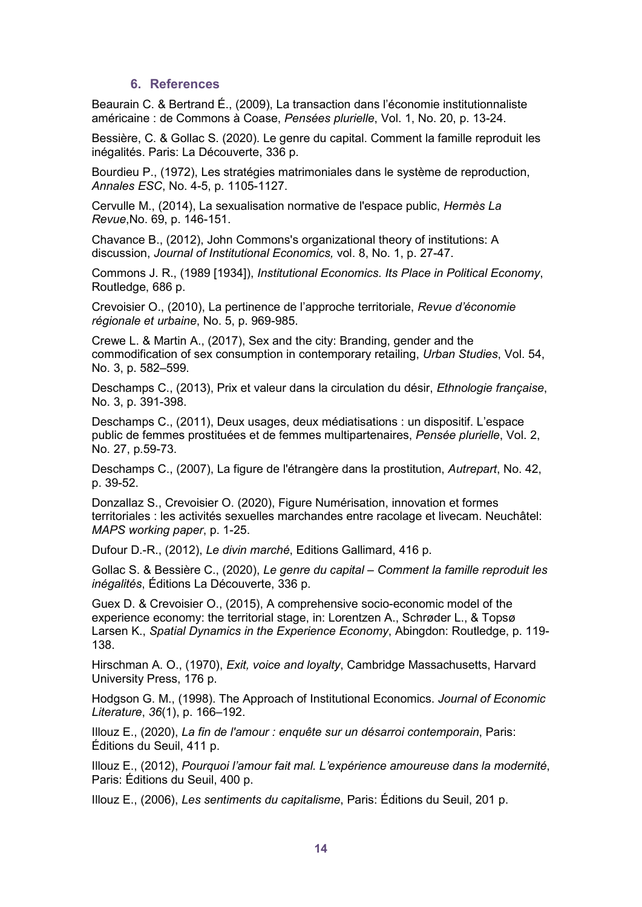### **6. References**

Beaurain C. & Bertrand É., (2009), La transaction dans l'économie institutionnaliste américaine : de Commons à Coase, *Pensées plurielle*, Vol. 1, No. 20, p. 13-24.

Bessière, C. & Gollac S. (2020). Le genre du capital. Comment la famille reproduit les inégalités. Paris: La Découverte, 336 p.

Bourdieu P., (1972), Les stratégies matrimoniales dans le système de reproduction, *Annales ESC*, No. 4-5, p. 1105-1127.

Cervulle M., (2014), La sexualisation normative de l'espace public, *Hermès La Revue*,No. 69, p. 146-151.

Chavance B., (2012), John Commons's organizational theory of institutions: A discussion, *Journal of Institutional Economics,* vol. 8, No. 1, p. 27-47.

Commons J. R., (1989 [1934]), *Institutional Economics. Its Place in Political Economy*, Routledge, 686 p.

Crevoisier O., (2010), La pertinence de l'approche territoriale, *Revue d'économie régionale et urbaine*, No. 5, p. 969-985.

Crewe L. & Martin A., (2017), Sex and the city: Branding, gender and the commodification of sex consumption in contemporary retailing, *Urban Studies*, Vol. 54, No. 3, p. 582–599.

Deschamps C., (2013), Prix et valeur dans la circulation du désir, *Ethnologie française*, No. 3, p. 391-398.

Deschamps C., (2011), Deux usages, deux médiatisations : un dispositif. L'espace public de femmes prostituées et de femmes multipartenaires, *Pensée plurielle*, Vol. 2, No. 27, p.59-73.

Deschamps C., (2007), La figure de l'étrangère dans la prostitution, *Autrepart*, No. 42, p. 39-52.

Donzallaz S., Crevoisier O. (2020), Figure Numérisation, innovation et formes territoriales : les activités sexuelles marchandes entre racolage et livecam. Neuchâtel: *MAPS working paper*, p. 1-25.

Dufour D.-R., (2012), *Le divin marché*, Editions Gallimard, 416 p.

Gollac S. & Bessière C., (2020), *Le genre du capital – Comment la famille reproduit les inégalités*, Éditions La Découverte, 336 p.

Guex D. & Crevoisier O., (2015), A comprehensive socio-economic model of the experience economy: the territorial stage, in: Lorentzen A., Schrøder L., & Topsø Larsen K., *Spatial Dynamics in the Experience Economy*, Abingdon: Routledge, p. 119- 138.

Hirschman A. O., (1970), *Exit, voice and loyalty*, Cambridge Massachusetts, Harvard University Press, 176 p.

Hodgson G. M., (1998). The Approach of Institutional Economics. *Journal of Economic Literature*, *36*(1), p. 166–192.

Illouz E., (2020), *La fin de l'amour : enquête sur un désarroi contemporain*, Paris: Éditions du Seuil, 411 p.

Illouz E., (2012), *Pourquoi l'amour fait mal. L'expérience amoureuse dans la modernité*, Paris: Éditions du Seuil, 400 p.

Illouz E., (2006), *Les sentiments du capitalisme*, Paris: Éditions du Seuil, 201 p.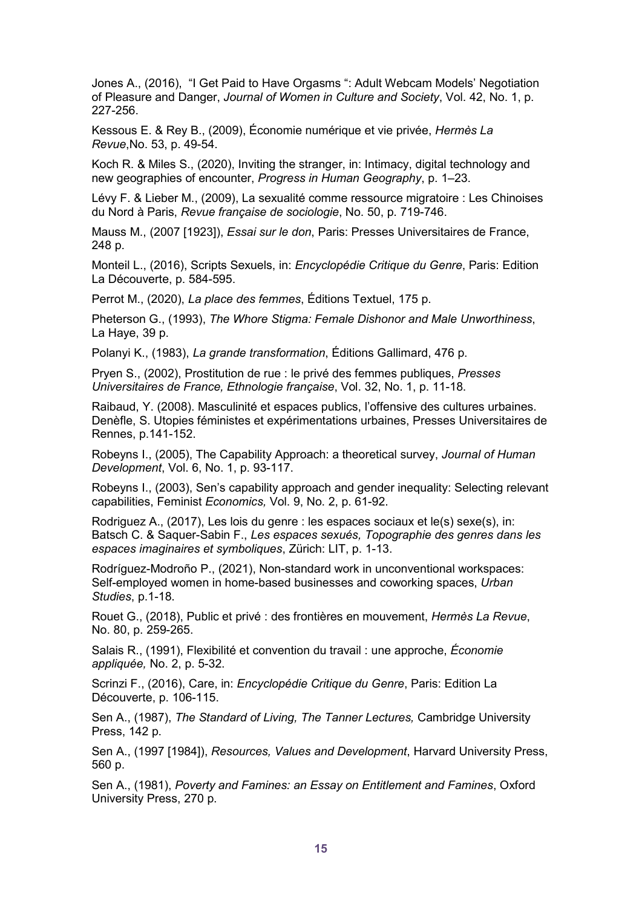Jones A., (2016), "I Get Paid to Have Orgasms ": Adult Webcam Models' Negotiation of Pleasure and Danger, *Journal of Women in Culture and Society*, Vol. 42, No. 1, p. 227-256.

Kessous E. & Rey B., (2009), Économie numérique et vie privée, *Hermès La Revue*,No. 53, p. 49-54.

Koch R. & Miles S., (2020), Inviting the stranger, in: Intimacy, digital technology and new geographies of encounter, *Progress in Human Geography*, p. 1–23.

Lévy F. & Lieber M., (2009), La sexualité comme ressource migratoire : Les Chinoises du Nord à Paris, *Revue française de sociologie*, No. 50, p. 719-746.

Mauss M., (2007 [1923]), *Essai sur le don*, Paris: Presses Universitaires de France, 248 p.

Monteil L., (2016), Scripts Sexuels, in: *Encyclopédie Critique du Genre*, Paris: Edition La Découverte, p. 584-595.

Perrot M., (2020), *La place des femmes*, Éditions Textuel, 175 p.

Pheterson G., (1993), *The Whore Stigma: Female Dishonor and Male Unworthiness*, La Haye, 39 p.

Polanyi K., (1983), *La grande transformation*, Éditions Gallimard, 476 p.

Pryen S., (2002), Prostitution de rue : le privé des femmes publiques, *Presses Universitaires de France, Ethnologie française*, Vol. 32, No. 1, p. 11-18.

Raibaud, Y. (2008). Masculinité et espaces publics, l'offensive des cultures urbaines. Denèfle, S. Utopies féministes et expérimentations urbaines, Presses Universitaires de Rennes, p.141-152.

Robeyns I., (2005), The Capability Approach: a theoretical survey, *Journal of Human Development*, Vol. 6, No. 1, p. 93-117.

Robeyns I., (2003), Sen's capability approach and gender inequality: Selecting relevant capabilities, Feminist *Economics,* Vol. 9, No. 2, p. 61-92.

Rodriguez A., (2017), Les lois du genre : les espaces sociaux et le(s) sexe(s), in: Batsch C. & Saquer-Sabin F., *Les espaces sexués, Topographie des genres dans les espaces imaginaires et symboliques*, Zürich: LIT, p. 1-13.

Rodríguez-Modroño P., (2021), Non-standard work in unconventional workspaces: Self-employed women in home-based businesses and coworking spaces, *Urban Studies*, p.1-18.

Rouet G., (2018), Public et privé : des frontières en mouvement, *Hermès La Revue*, No. 80, p. 259-265.

Salais R., (1991), Flexibilité et convention du travail : une approche, *Économie appliquée,* No. 2, p. 5-32.

Scrinzi F., (2016), Care, in: *Encyclopédie Critique du Genre*, Paris: Edition La Découverte, p. 106-115.

Sen A., (1987), *The Standard of Living, The Tanner Lectures,* Cambridge University Press, 142 p.

Sen A., (1997 [1984]), *Resources, Values and Development*, Harvard University Press, 560 p.

Sen A., (1981), *Poverty and Famines: an Essay on Entitlement and Famines*, Oxford University Press, 270 p.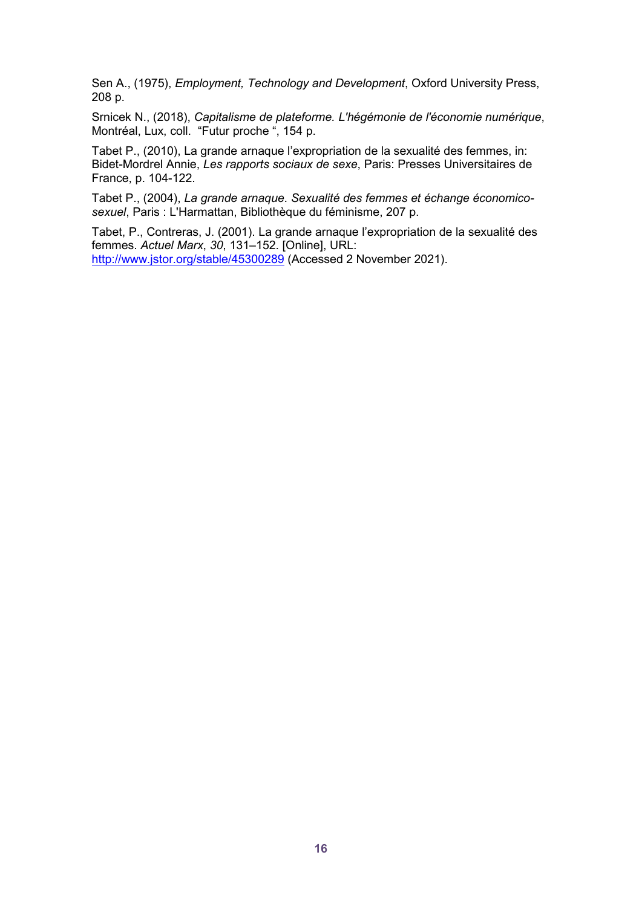Sen A., (1975), *Employment, Technology and Development*, Oxford University Press, 208 p.

Srnicek N., (2018), *Capitalisme de plateforme. L'hégémonie de l'économie numérique*, Montréal, Lux, coll. "Futur proche ", 154 p.

Tabet P., (2010), La grande arnaque l'expropriation de la sexualité des femmes, in: Bidet-Mordrel Annie, *Les rapports sociaux de sexe*, Paris: Presses Universitaires de France, p. 104-122.

Tabet P., (2004), *La grande arnaque*. *Sexualité des femmes et échange économicosexuel*, Paris : L'Harmattan, Bibliothèque du féminisme, 207 p.

Tabet, P., Contreras, J. (2001). La grande arnaque l'expropriation de la sexualité des femmes. *Actuel Marx*, *30*, 131–152. [Online], URL:

<http://www.jstor.org/stable/45300289> (Accessed 2 November 2021).